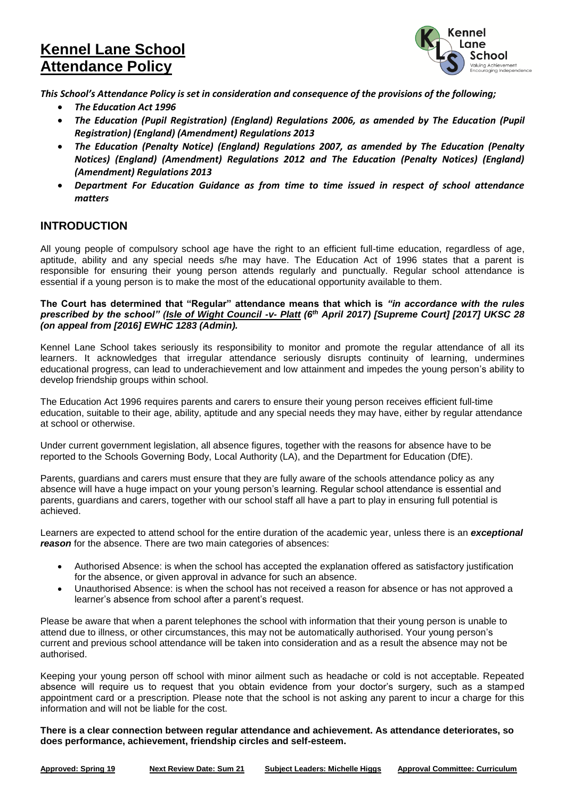# **Kennel Lane School Attendance Policy**



*This School's Attendance Policy is set in consideration and consequence of the provisions of the following;*

- *The Education Act 1996*
- *The Education (Pupil Registration) (England) Regulations 2006, as amended by The Education (Pupil Registration) (England) (Amendment) Regulations 2013*
- *The Education (Penalty Notice) (England) Regulations 2007, as amended by The Education (Penalty Notices) (England) (Amendment) Regulations 2012 and The Education (Penalty Notices) (England) (Amendment) Regulations 2013*
- *Department For Education Guidance as from time to time issued in respect of school attendance matters*

# **INTRODUCTION**

All young people of compulsory school age have the right to an efficient full-time education, regardless of age, aptitude, ability and any special needs s/he may have. The Education Act of 1996 states that a parent is responsible for ensuring their young person attends regularly and punctually. Regular school attendance is essential if a young person is to make the most of the educational opportunity available to them.

#### **The Court has determined that "Regular" attendance means that which is** *"in accordance with the rules prescribed by the school" (Isle of Wight Council -v- Platt (6th April 2017) [Supreme Court] [2017] UKSC 28 (on appeal from [2016] EWHC 1283 (Admin).*

Kennel Lane School takes seriously its responsibility to monitor and promote the regular attendance of all its learners. It acknowledges that irregular attendance seriously disrupts continuity of learning, undermines educational progress, can lead to underachievement and low attainment and impedes the young person's ability to develop friendship groups within school.

The Education Act 1996 requires parents and carers to ensure their young person receives efficient full-time education, suitable to their age, ability, aptitude and any special needs they may have, either by regular attendance at school or otherwise.

Under current government legislation, all absence figures, together with the reasons for absence have to be reported to the Schools Governing Body, Local Authority (LA), and the Department for Education (DfE).

Parents, guardians and carers must ensure that they are fully aware of the schools attendance policy as any absence will have a huge impact on your young person's learning. Regular school attendance is essential and parents, guardians and carers, together with our school staff all have a part to play in ensuring full potential is achieved.

Learners are expected to attend school for the entire duration of the academic year, unless there is an *exceptional reason* for the absence. There are two main categories of absences:

- Authorised Absence: is when the school has accepted the explanation offered as satisfactory justification for the absence, or given approval in advance for such an absence.
- Unauthorised Absence: is when the school has not received a reason for absence or has not approved a learner's absence from school after a parent's request.

Please be aware that when a parent telephones the school with information that their young person is unable to attend due to illness, or other circumstances, this may not be automatically authorised. Your young person's current and previous school attendance will be taken into consideration and as a result the absence may not be authorised.

Keeping your young person off school with minor ailment such as headache or cold is not acceptable. Repeated absence will require us to request that you obtain evidence from your doctor's surgery, such as a stamped appointment card or a prescription. Please note that the school is not asking any parent to incur a charge for this information and will not be liable for the cost.

**There is a clear connection between regular attendance and achievement. As attendance deteriorates, so does performance, achievement, friendship circles and self-esteem.**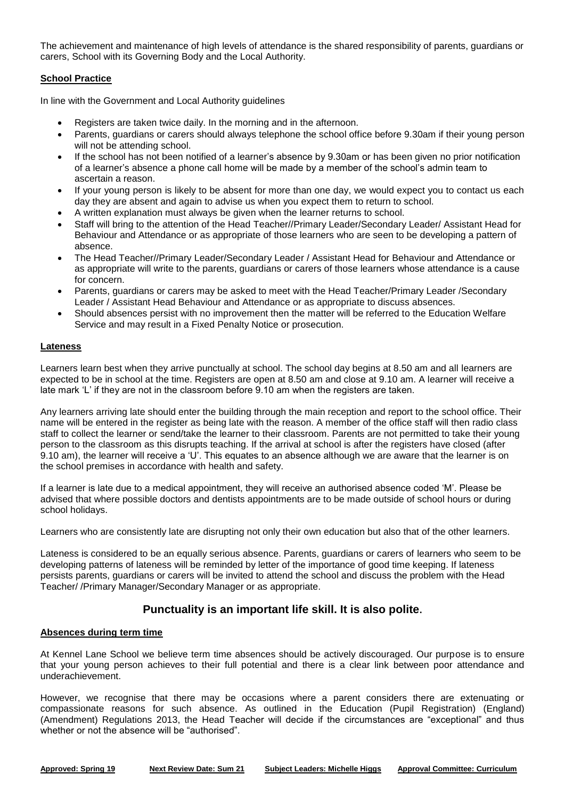The achievement and maintenance of high levels of attendance is the shared responsibility of parents, guardians or carers, School with its Governing Body and the Local Authority.

# **School Practice**

In line with the Government and Local Authority guidelines

- Registers are taken twice daily. In the morning and in the afternoon.
- Parents, guardians or carers should always telephone the school office before 9.30am if their young person will not be attending school.
- If the school has not been notified of a learner's absence by 9.30am or has been given no prior notification of a learner's absence a phone call home will be made by a member of the school's admin team to ascertain a reason.
- If your young person is likely to be absent for more than one day, we would expect you to contact us each day they are absent and again to advise us when you expect them to return to school.
- A written explanation must always be given when the learner returns to school.
- Staff will bring to the attention of the Head Teacher//Primary Leader/Secondary Leader/ Assistant Head for Behaviour and Attendance or as appropriate of those learners who are seen to be developing a pattern of absence.
- The Head Teacher//Primary Leader/Secondary Leader / Assistant Head for Behaviour and Attendance or as appropriate will write to the parents, guardians or carers of those learners whose attendance is a cause for concern.
- Parents, guardians or carers may be asked to meet with the Head Teacher/Primary Leader /Secondary Leader / Assistant Head Behaviour and Attendance or as appropriate to discuss absences.
- Should absences persist with no improvement then the matter will be referred to the Education Welfare Service and may result in a Fixed Penalty Notice or prosecution.

# **Lateness**

Learners learn best when they arrive punctually at school. The school day begins at 8.50 am and all learners are expected to be in school at the time. Registers are open at 8.50 am and close at 9.10 am. A learner will receive a late mark 'L' if they are not in the classroom before 9.10 am when the registers are taken.

Any learners arriving late should enter the building through the main reception and report to the school office. Their name will be entered in the register as being late with the reason. A member of the office staff will then radio class staff to collect the learner or send/take the learner to their classroom. Parents are not permitted to take their young person to the classroom as this disrupts teaching. If the arrival at school is after the registers have closed (after 9.10 am), the learner will receive a 'U'. This equates to an absence although we are aware that the learner is on the school premises in accordance with health and safety.

If a learner is late due to a medical appointment, they will receive an authorised absence coded 'M'. Please be advised that where possible doctors and dentists appointments are to be made outside of school hours or during school holidays.

Learners who are consistently late are disrupting not only their own education but also that of the other learners.

Lateness is considered to be an equally serious absence. Parents, guardians or carers of learners who seem to be developing patterns of lateness will be reminded by letter of the importance of good time keeping. If lateness persists parents, guardians or carers will be invited to attend the school and discuss the problem with the Head Teacher/ /Primary Manager/Secondary Manager or as appropriate.

# **Punctuality is an important life skill. It is also polite.**

# **Absences during term time**

At Kennel Lane School we believe term time absences should be actively discouraged. Our purpose is to ensure that your young person achieves to their full potential and there is a clear link between poor attendance and underachievement.

However, we recognise that there may be occasions where a parent considers there are extenuating or compassionate reasons for such absence. As outlined in the Education (Pupil Registration) (England) (Amendment) Regulations 2013, the Head Teacher will decide if the circumstances are "exceptional" and thus whether or not the absence will be "authorised".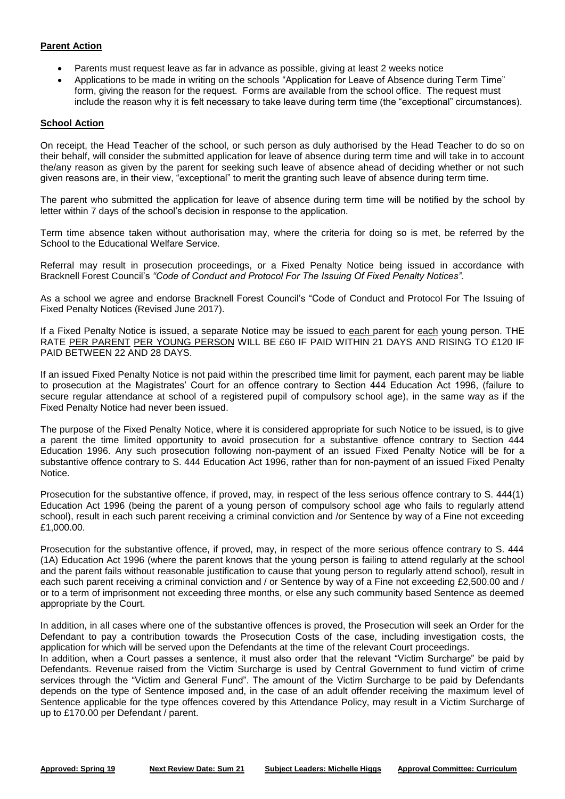# **Parent Action**

- Parents must request leave as far in advance as possible, giving at least 2 weeks notice
- Applications to be made in writing on the schools "Application for Leave of Absence during Term Time" form, giving the reason for the request. Forms are available from the school office. The request must include the reason why it is felt necessary to take leave during term time (the "exceptional" circumstances).

### **School Action**

On receipt, the Head Teacher of the school, or such person as duly authorised by the Head Teacher to do so on their behalf, will consider the submitted application for leave of absence during term time and will take in to account the/any reason as given by the parent for seeking such leave of absence ahead of deciding whether or not such given reasons are, in their view, "exceptional" to merit the granting such leave of absence during term time.

The parent who submitted the application for leave of absence during term time will be notified by the school by letter within 7 days of the school's decision in response to the application.

Term time absence taken without authorisation may, where the criteria for doing so is met, be referred by the School to the Educational Welfare Service.

Referral may result in prosecution proceedings, or a Fixed Penalty Notice being issued in accordance with Bracknell Forest Council's *"Code of Conduct and Protocol For The Issuing Of Fixed Penalty Notices".*

As a school we agree and endorse Bracknell Forest Council's "Code of Conduct and Protocol For The Issuing of Fixed Penalty Notices (Revised June 2017).

If a Fixed Penalty Notice is issued, a separate Notice may be issued to each parent for each young person. THE RATE PER PARENT PER YOUNG PERSON WILL BE £60 IF PAID WITHIN 21 DAYS AND RISING TO £120 IF PAID BETWEEN 22 AND 28 DAYS.

If an issued Fixed Penalty Notice is not paid within the prescribed time limit for payment, each parent may be liable to prosecution at the Magistrates' Court for an offence contrary to Section 444 Education Act 1996, (failure to secure regular attendance at school of a registered pupil of compulsory school age), in the same way as if the Fixed Penalty Notice had never been issued.

The purpose of the Fixed Penalty Notice, where it is considered appropriate for such Notice to be issued, is to give a parent the time limited opportunity to avoid prosecution for a substantive offence contrary to Section 444 Education 1996. Any such prosecution following non-payment of an issued Fixed Penalty Notice will be for a substantive offence contrary to S. 444 Education Act 1996, rather than for non-payment of an issued Fixed Penalty Notice.

Prosecution for the substantive offence, if proved, may, in respect of the less serious offence contrary to S. 444(1) Education Act 1996 (being the parent of a young person of compulsory school age who fails to regularly attend school), result in each such parent receiving a criminal conviction and /or Sentence by way of a Fine not exceeding £1,000.00.

Prosecution for the substantive offence, if proved, may, in respect of the more serious offence contrary to S. 444 (1A) Education Act 1996 (where the parent knows that the young person is failing to attend regularly at the school and the parent fails without reasonable justification to cause that young person to regularly attend school), result in each such parent receiving a criminal conviction and / or Sentence by way of a Fine not exceeding £2,500.00 and / or to a term of imprisonment not exceeding three months, or else any such community based Sentence as deemed appropriate by the Court.

In addition, in all cases where one of the substantive offences is proved, the Prosecution will seek an Order for the Defendant to pay a contribution towards the Prosecution Costs of the case, including investigation costs, the application for which will be served upon the Defendants at the time of the relevant Court proceedings.

In addition, when a Court passes a sentence, it must also order that the relevant "Victim Surcharge" be paid by Defendants. Revenue raised from the Victim Surcharge is used by Central Government to fund victim of crime services through the "Victim and General Fund". The amount of the Victim Surcharge to be paid by Defendants depends on the type of Sentence imposed and, in the case of an adult offender receiving the maximum level of Sentence applicable for the type offences covered by this Attendance Policy, may result in a Victim Surcharge of up to £170.00 per Defendant / parent.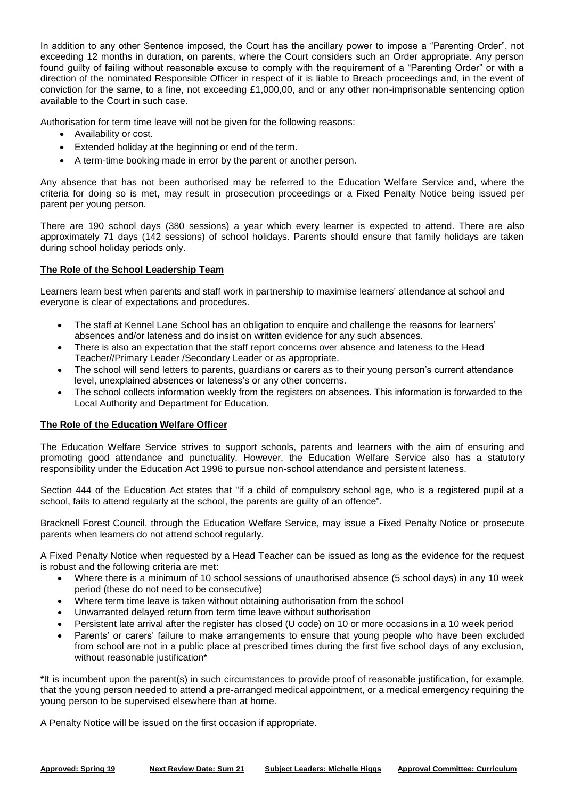In addition to any other Sentence imposed, the Court has the ancillary power to impose a "Parenting Order", not exceeding 12 months in duration, on parents, where the Court considers such an Order appropriate. Any person found guilty of failing without reasonable excuse to comply with the requirement of a "Parenting Order" or with a direction of the nominated Responsible Officer in respect of it is liable to Breach proceedings and, in the event of conviction for the same, to a fine, not exceeding £1,000,00, and or any other non-imprisonable sentencing option available to the Court in such case.

Authorisation for term time leave will not be given for the following reasons:

- Availability or cost.
- Extended holiday at the beginning or end of the term.
- A term-time booking made in error by the parent or another person.

Any absence that has not been authorised may be referred to the Education Welfare Service and, where the criteria for doing so is met, may result in prosecution proceedings or a Fixed Penalty Notice being issued per parent per young person.

There are 190 school days (380 sessions) a year which every learner is expected to attend. There are also approximately 71 days (142 sessions) of school holidays. Parents should ensure that family holidays are taken during school holiday periods only.

# **The Role of the School Leadership Team**

Learners learn best when parents and staff work in partnership to maximise learners' attendance at school and everyone is clear of expectations and procedures.

- The staff at Kennel Lane School has an obligation to enquire and challenge the reasons for learners' absences and/or lateness and do insist on written evidence for any such absences.
- There is also an expectation that the staff report concerns over absence and lateness to the Head Teacher//Primary Leader /Secondary Leader or as appropriate.
- The school will send letters to parents, guardians or carers as to their young person's current attendance level, unexplained absences or lateness's or any other concerns.
- The school collects information weekly from the registers on absences. This information is forwarded to the Local Authority and Department for Education.

#### **The Role of the Education Welfare Officer**

The Education Welfare Service strives to support schools, parents and learners with the aim of ensuring and promoting good attendance and punctuality. However, the Education Welfare Service also has a statutory responsibility under the Education Act 1996 to pursue non-school attendance and persistent lateness.

Section 444 of the Education Act states that "if a child of compulsory school age, who is a registered pupil at a school, fails to attend regularly at the school, the parents are guilty of an offence".

Bracknell Forest Council, through the Education Welfare Service, may issue a Fixed Penalty Notice or prosecute parents when learners do not attend school regularly.

A Fixed Penalty Notice when requested by a Head Teacher can be issued as long as the evidence for the request is robust and the following criteria are met:

- Where there is a minimum of 10 school sessions of unauthorised absence (5 school days) in any 10 week period (these do not need to be consecutive)
- Where term time leave is taken without obtaining authorisation from the school
- Unwarranted delayed return from term time leave without authorisation
- Persistent late arrival after the register has closed (U code) on 10 or more occasions in a 10 week period
- Parents' or carers' failure to make arrangements to ensure that young people who have been excluded from school are not in a public place at prescribed times during the first five school days of any exclusion, without reasonable justification\*

\*It is incumbent upon the parent(s) in such circumstances to provide proof of reasonable justification, for example, that the young person needed to attend a pre-arranged medical appointment, or a medical emergency requiring the young person to be supervised elsewhere than at home.

A Penalty Notice will be issued on the first occasion if appropriate.